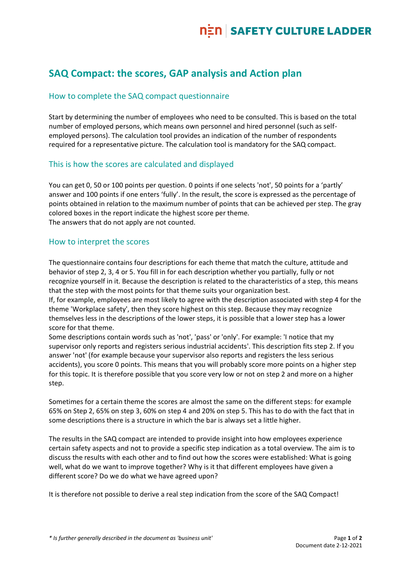# **SAQ Compact: the scores, GAP analysis and Action plan**

### How to complete the SAQ compact questionnaire

Start by determining the number of employees who need to be consulted. This is based on the total number of employed persons, which means own personnel and hired personnel (such as selfemployed persons). The calculation tool provides an indication of the number of respondents required for a representative picture. The calculation tool is mandatory for the SAQ compact.

#### This is how the scores are calculated and displayed

You can get 0, 50 or 100 points per question. 0 points if one selects 'not', 50 points for a 'partly' answer and 100 points if one enters 'fully'. In the result, the score is expressed as the percentage of points obtained in relation to the maximum number of points that can be achieved per step. The gray colored boxes in the report indicate the highest score per theme. The answers that do not apply are not counted.

#### How to interpret the scores

The questionnaire contains four descriptions for each theme that match the culture, attitude and behavior of step 2, 3, 4 or 5. You fill in for each description whether you partially, fully or not recognize yourself in it. Because the description is related to the characteristics of a step, this means that the step with the most points for that theme suits your organization best.

If, for example, employees are most likely to agree with the description associated with step 4 for the theme 'Workplace safety', then they score highest on this step. Because they may recognize themselves less in the descriptions of the lower steps, it is possible that a lower step has a lower score for that theme.

Some descriptions contain words such as 'not', 'pass' or 'only'. For example: 'I notice that my supervisor only reports and registers serious industrial accidents'. This description fits step 2. If you answer 'not' (for example because your supervisor also reports and registers the less serious accidents), you score 0 points. This means that you will probably score more points on a higher step for this topic. It is therefore possible that you score very low or not on step 2 and more on a higher step.

Sometimes for a certain theme the scores are almost the same on the different steps: for example 65% on Step 2, 65% on step 3, 60% on step 4 and 20% on step 5. This has to do with the fact that in some descriptions there is a structure in which the bar is always set a little higher.

The results in the SAQ compact are intended to provide insight into how employees experience certain safety aspects and not to provide a specific step indication as a total overview. The aim is to discuss the results with each other and to find out how the scores were established: What is going well, what do we want to improve together? Why is it that different employees have given a different score? Do we do what we have agreed upon?

It is therefore not possible to derive a real step indication from the score of the SAQ Compact!